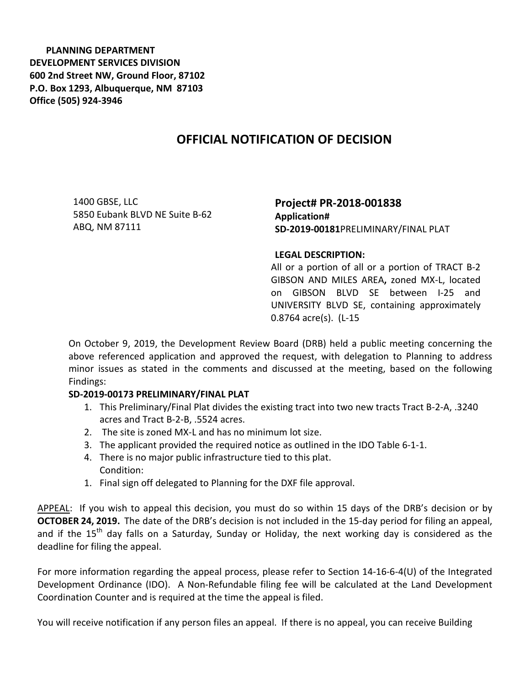**PLANNING DEPARTMENT DEVELOPMENT SERVICES DIVISION 600 2nd Street NW, Ground Floor, 87102 P.O. Box 1293, Albuquerque, NM 87103 Office (505) 924-3946** 

## **OFFICIAL NOTIFICATION OF DECISION**

1400 GBSE, LLC 5850 Eubank BLVD NE Suite B-62 ABQ, NM 87111

**Project# PR-2018-001838 Application# SD-2019-00181**PRELIMINARY/FINAL PLAT

## **LEGAL DESCRIPTION:**

All or a portion of all or a portion of TRACT B-2 GIBSON AND MILES AREA**,** zoned MX-L, located on GIBSON BLVD SE between I-25 and UNIVERSITY BLVD SE, containing approximately 0.8764 acre(s). (L-15

On October 9, 2019, the Development Review Board (DRB) held a public meeting concerning the above referenced application and approved the request, with delegation to Planning to address minor issues as stated in the comments and discussed at the meeting, based on the following Findings:

## **SD-2019-00173 PRELIMINARY/FINAL PLAT**

- 1. This Preliminary/Final Plat divides the existing tract into two new tracts Tract B-2-A, .3240 acres and Tract B-2-B, .5524 acres.
- 2. The site is zoned MX-L and has no minimum lot size.
- 3. The applicant provided the required notice as outlined in the IDO Table 6-1-1.
- 4. There is no major public infrastructure tied to this plat. Condition:
- 1. Final sign off delegated to Planning for the DXF file approval.

APPEAL: If you wish to appeal this decision, you must do so within 15 days of the DRB's decision or by **OCTOBER 24, 2019.** The date of the DRB's decision is not included in the 15-day period for filing an appeal, and if the 15<sup>th</sup> day falls on a Saturday, Sunday or Holiday, the next working day is considered as the deadline for filing the appeal.

For more information regarding the appeal process, please refer to Section 14-16-6-4(U) of the Integrated Development Ordinance (IDO). A Non-Refundable filing fee will be calculated at the Land Development Coordination Counter and is required at the time the appeal is filed.

You will receive notification if any person files an appeal. If there is no appeal, you can receive Building